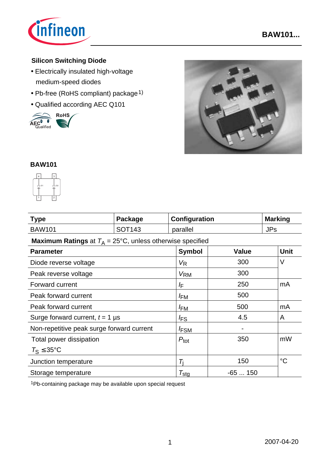

# **Silicon Switching Diode**

- Electrically insulated high-voltage medium-speed diodes
- Pb-free (RoHS compliant) package<sup>1)</sup>
- 





#### **BAW101**



| <b>Type</b> | Package            | Configuration | <b>Marking</b> |
|-------------|--------------------|---------------|----------------|
| BAW101      | SOT <sub>143</sub> | parallel      | JPs            |

### **Maximum Ratings** at  $T_A = 25^{\circ}C$ , unless otherwise specified

| $\cdots$<br><b>Parameter</b>              | <b>Symbol</b>         | <b>Value</b>   | <b>Unit</b>     |
|-------------------------------------------|-----------------------|----------------|-----------------|
| Diode reverse voltage                     | VR                    | 300            | V               |
| Peak reverse voltage                      | <b>V<sub>RM</sub></b> | 300            |                 |
| Forward current                           | ΙF                    | 250            | mA              |
| Peak forward current                      | <b>FM</b>             | 500            |                 |
| Peak forward current                      | <sup>I</sup> FM       | 500            | mA              |
| Surge forward current, $t = 1$ µs         | <sup>I</sup> FS       | 4.5            | A               |
| Non-repetitive peak surge forward current | <i>F</i> SM           | $\blacksquare$ |                 |
| Total power dissipation                   | $P_{\text{tot}}$      | 350            | mW              |
| $T_S \leq 35^{\circ}C$                    |                       |                |                 |
| Junction temperature                      | Ti                    | 150            | $\rm ^{\circ}C$ |
| Storage temperature                       | $\tau_{\text{stg}}$   | $-65150$       |                 |

1Pb-containing package may be available upon special request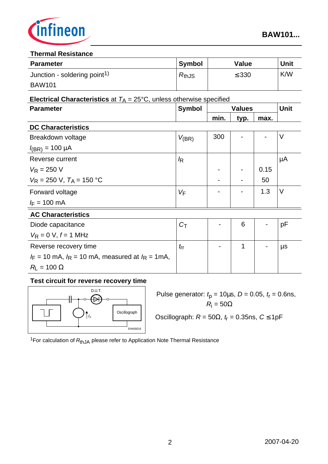

#### **Thermal Resistance**

| <b>Parameter</b>                         | <b>Symbol</b> | Value      | <b>Unit</b> |
|------------------------------------------|---------------|------------|-------------|
| Junction - soldering point <sup>1)</sup> | $R_{th,JS}$   | $\leq$ 330 | K/W         |
| <b>BAW101</b>                            |               |            |             |

#### **Electrical Characteristics** at  $T_A = 25^{\circ}$ C, unless otherwise specified

| <b>Symbol</b>  | <b>Values</b> |      | <b>Unit</b> |    |
|----------------|---------------|------|-------------|----|
|                | min.          | typ. | max.        |    |
|                |               |      |             |    |
| $V_{(BR)}$     | 300           |      |             | V  |
|                |               |      |             |    |
| k              |               |      |             | μA |
|                |               |      | 0.15        |    |
|                |               |      | 50          |    |
| $V_{\text{F}}$ |               |      | 1.3         | V  |
|                |               |      |             |    |
|                |               |      |             |    |
| $C_{\text{T}}$ |               | 6    |             | рF |
|                |               |      |             |    |
| $t_{\rm{rr}}$  |               | 1    |             | μs |
|                |               |      |             |    |
|                |               |      |             |    |
|                |               |      |             |    |

# **Test circuit for reverse recovery time**



Pulse generator:  $t_p = 10 \mu s$ ,  $D = 0.05$ ,  $t_r = 0.6$ ns, *R*<sup>i</sup>  $R_i = 50\Omega$ 

Oscillograph:  $R = 50Ω$ ,  $t<sub>f</sub> = 0.35$ ns,  $C ≤ 1pF$ 

<sup>1</sup>For calculation of R<sub>thJA</sub> please refer to Application Note Thermal Resistance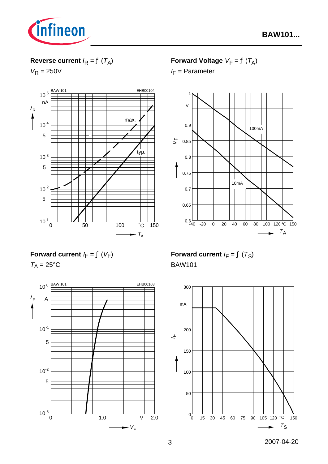

# **Reverse current**  $I_R = f(T_A)$

 $V_R = 250V$ 



**Forward Voltage**  $V_F = f(T_A)$ 

*I* F = Parameter



**Forward current**  $I_F = f(V_F)$ 

 $T_A = 25$ °C



**Forward current**  $I_F = f(T_S)$ BAW101

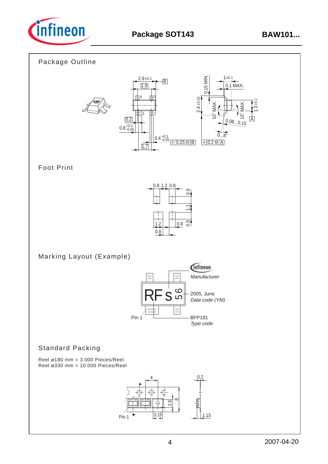